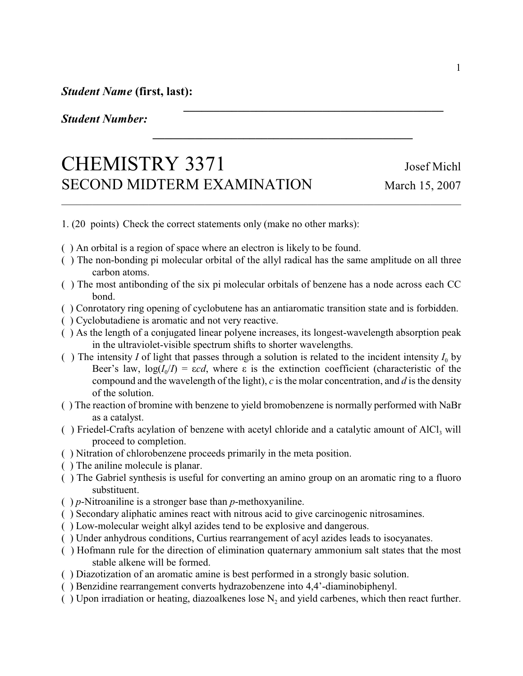## *Student Number:*

## CHEMISTRY 3371 Josef Michl SECOND MIDTERM EXAMINATION March 15, 2007

1. (20 points) Check the correct statements only (make no other marks):

- ( ) An orbital is a region of space where an electron is likely to be found.
- ( ) The non-bonding pi molecular orbital of the allyl radical has the same amplitude on all three carbon atoms.

\_\_\_\_\_\_\_\_\_\_\_\_\_\_\_\_\_\_\_\_\_\_\_\_\_\_\_\_\_\_\_\_\_\_\_\_\_\_\_\_\_\_\_\_\_\_\_\_\_\_\_\_\_\_\_\_\_\_\_\_\_\_\_\_\_\_\_\_\_\_\_\_\_\_\_\_\_\_

*\_\_\_\_\_\_\_\_\_\_\_\_\_\_\_\_\_\_\_\_\_\_\_\_\_\_\_\_\_\_\_\_\_\_\_\_\_\_\_\_\_\_\_*

*\_\_\_\_\_\_\_\_\_\_\_\_\_\_\_\_\_\_\_\_\_\_\_\_\_\_\_\_\_\_\_\_\_\_\_\_\_\_\_\_\_\_\_*

- ( ) The most antibonding of the six pi molecular orbitals of benzene has a node across each CC bond.
- ( ) Conrotatory ring opening of cyclobutene has an antiaromatic transition state and is forbidden.
- ( ) Cyclobutadiene is aromatic and not very reactive.
- ( ) As the length of a conjugated linear polyene increases, its longest-wavelength absorption peak in the ultraviolet-visible spectrum shifts to shorter wavelengths.
- () The intensity *I* of light that passes through a solution is related to the incident intensity  $I_0$  by Beer's law,  $log(I_0/I) = \varepsilon c d$ , where  $\varepsilon$  is the extinction coefficient (characteristic of the compound and the wavelength of the light), *c* is the molar concentration, and *d* is the density of the solution.
- ( ) The reaction of bromine with benzene to yield bromobenzene is normally performed with NaBr as a catalyst.
- () Friedel-Crafts acylation of benzene with acetyl chloride and a catalytic amount of  $AICI_3$  will proceed to completion.
- ( ) Nitration of chlorobenzene proceeds primarily in the meta position.
- ( ) The aniline molecule is planar.
- ( ) The Gabriel synthesis is useful for converting an amino group on an aromatic ring to a fluoro substituent.
- ( ) *p*-Nitroaniline is a stronger base than *p*-methoxyaniline.
- ( ) Secondary aliphatic amines react with nitrous acid to give carcinogenic nitrosamines.
- ( ) Low-molecular weight alkyl azides tend to be explosive and dangerous.
- ( ) Under anhydrous conditions, Curtius rearrangement of acyl azides leads to isocyanates.
- ( ) Hofmann rule for the direction of elimination quaternary ammonium salt states that the most stable alkene will be formed.
- ( ) Diazotization of an aromatic amine is best performed in a strongly basic solution.
- ( ) Benzidine rearrangement converts hydrazobenzene into 4,4'-diaminobiphenyl.
- () Upon irradiation or heating, diazoalkenes lose  $N_2$  and yield carbenes, which then react further.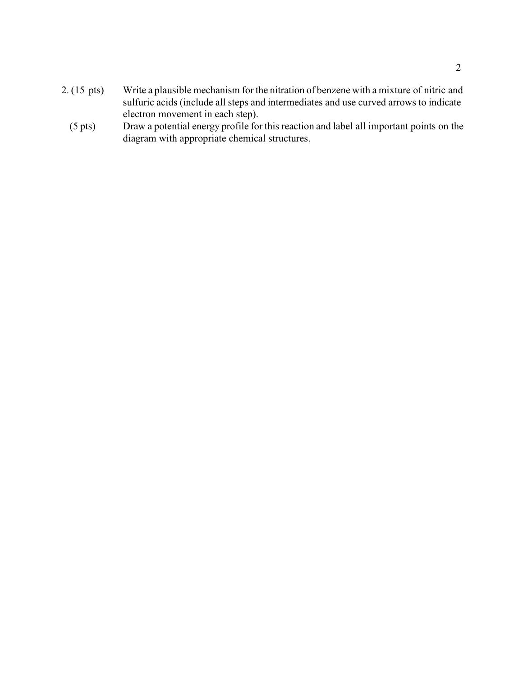- 2. (15 pts) Write a plausible mechanism for the nitration of benzene with a mixture of nitric and sulfuric acids (include all steps and intermediates and use curved arrows to indicate electron movement in each step).
	- (5 pts) Draw a potential energy profile for this reaction and label all important points on the diagram with appropriate chemical structures.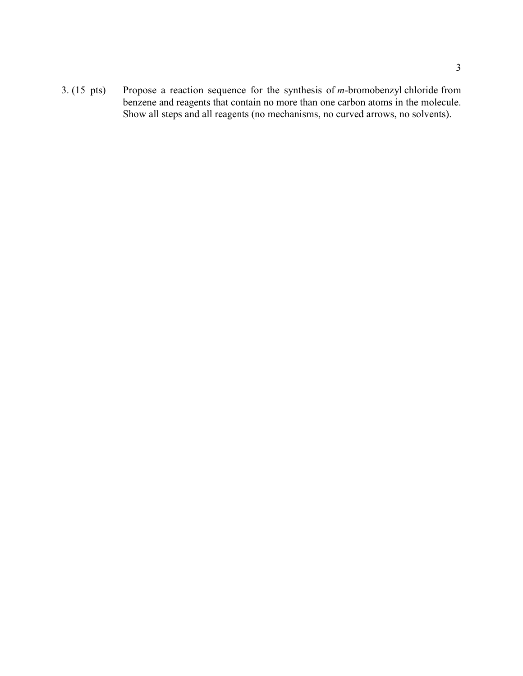3. (15 pts) Propose a reaction sequence for the synthesis of *m*-bromobenzyl chloride from benzene and reagents that contain no more than one carbon atoms in the molecule. Show all steps and all reagents (no mechanisms, no curved arrows, no solvents).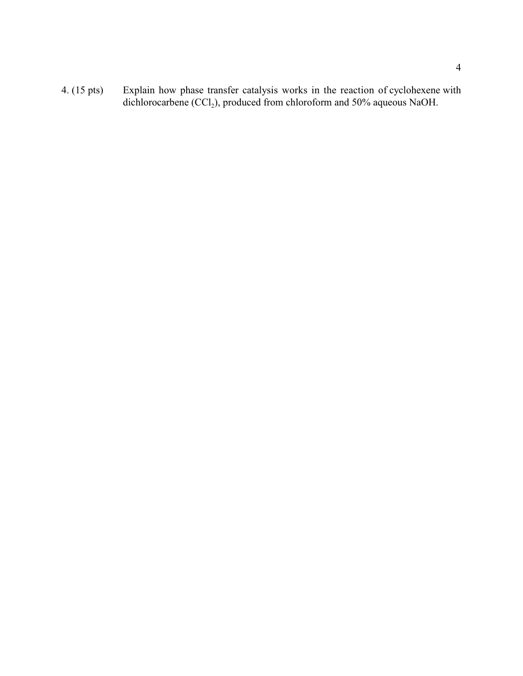4. (15 pts) Explain how phase transfer catalysis works in the reaction of cyclohexene with dichlorocarbene  $(CCl_2)$ , produced from chloroform and 50% aqueous NaOH.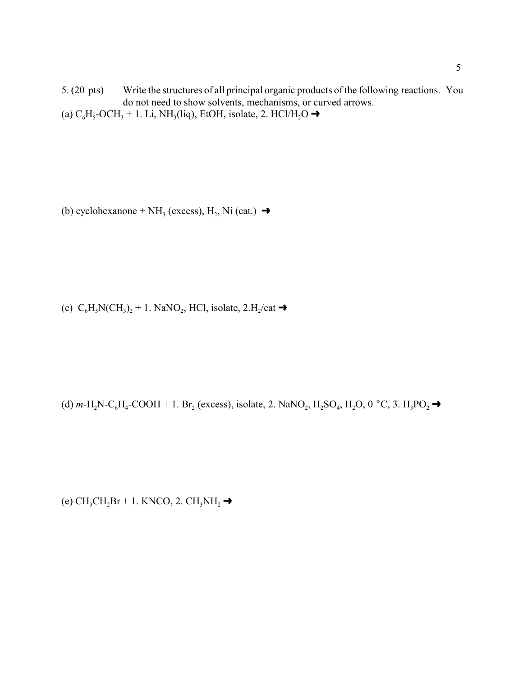5. (20 pts) Write the structures of all principal organic products of the following reactions. You do not need to show solvents, mechanisms, or curved arrows. (a)  $C_6H_5\text{-}OCH_3 + 1$ . Li, NH<sub>3</sub>(liq), EtOH, isolate, 2. HCl/H<sub>2</sub>O  $\rightarrow$ 

(b) cyclohexanone + NH<sub>3</sub> (excess), H<sub>2</sub>, Ni (cat.)  $\rightarrow$ 

(c)  $C_6H_5N(CH_3)_2 + 1.$  NaNO<sub>2</sub>, HCl, isolate, 2.H<sub>2</sub>/cat  $\rightarrow$ 

(d) *m*-H<sub>2</sub>N-C<sub>6</sub>H<sub>4</sub>-COOH + 1. Br<sub>2</sub> (excess), isolate, 2. NaNO<sub>2</sub>, H<sub>2</sub>SO<sub>4</sub>, H<sub>2</sub>O, 0 °C, 3. H<sub>3</sub>PO<sub>2</sub>  $\rightarrow$ 

(e)  $\text{CH}_3\text{CH}_2\text{Br} + 1$ . KNCO, 2.  $\text{CH}_3\text{NH}_2$   $\rightarrow$